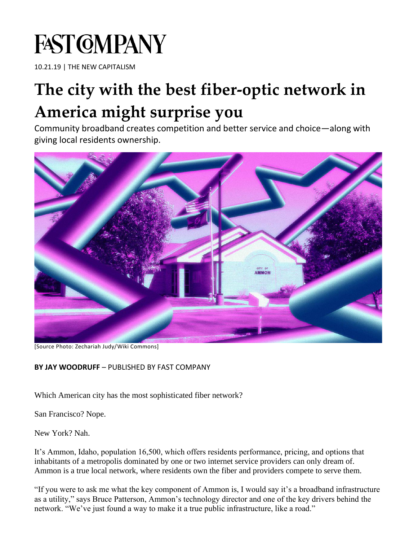# **FAST GMPANY**

10.21.19 | THE NEW CAPITALISM

## **[The city with the best fiber-optic network in](https://www.fastcompany.com/90416863/the-city-with-the-best-fiber-optic-network-in-america-might-surprise-you)  [America might surprise you](https://www.fastcompany.com/90416863/the-city-with-the-best-fiber-optic-network-in-america-might-surprise-you)**

Community broadband creates competition and better service and choice—along with giving local residents ownership.



[Source Photo: Zechariah Judy/Wiki Commons]

#### **BY JAY WOODRUFF** – PUBLISHED BY FAST COMPANY

Which American city has the most sophisticated fiber network?

San Francisco? Nope.

New York? Nah.

It's Ammon, Idaho, population 16,500, which offers residents performance, pricing, and options that inhabitants of a metropolis dominated by one or two internet service providers can only dream of. Ammon is a true local network, where residents own the fiber and providers compete to serve them.

"If you were to ask me what the key component of Ammon is, I would say it's a broadband infrastructure as a utility," says Bruce Patterson, Ammon's technology director and one of the key drivers behind the network. "We've just found a way to make it a true public infrastructure, like a road."